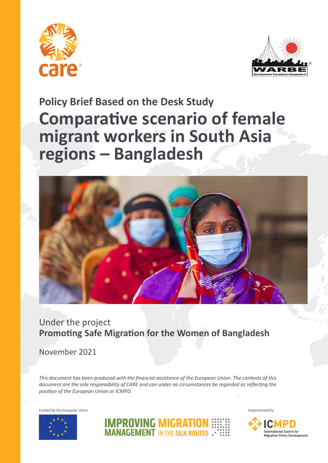



# **Policy Brief Based on the Desk Study Comparative scenario of female migrant workers in South Asia regions – Bangladesh**



### Under the project **Promoting Safe Migration for the Women of Bangladesh**

November 2021

*This document has been produced with the financial assistance of the European Union. The contents of this document are the sole responsibility of CARE and can under no circumstances be regarded as reflecting the position of the European Union or ICMPD.*





**IMPROVING MIGRATION MANAGEMENT IN THE SILK ROUTES.** 

Funded by the European Union Funded by the European Union Implemented by Implemented by Implemented by Implemented by Implemented by Implemented by Implemented by Implemented by Implemented by Implemented by Implemented by

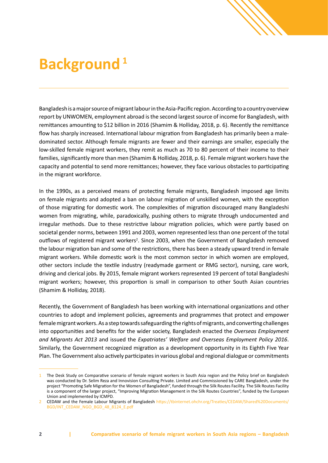# **Background**<sup>1</sup>

Bangladesh is a major source of migrant labour in the Asia-Pacific region. According to a country overview report by UNWOMEN, employment abroad is the second largest source of income for Bangladesh, with remittances amounting to \$12 billion in 2016 (Shamim & Holliday, 2018, p. 6). Recently the remittance flow has sharply increased. International labour migration from Bangladesh has primarily been a maledominated sector. Although female migrants are fewer and their earnings are smaller, especially the low-skilled female migrant workers, they remit as much as 70 to 80 percent of their income to their families, significantly more than men (Shamim & Holliday, 2018, p. 6). Female migrant workers have the capacity and potential to send more remittances; however, they face various obstacles to participating in the migrant workforce.

In the 1990s, as a perceived means of protecting female migrants, Bangladesh imposed age limits on female migrants and adopted a ban on labour migration of unskilled women, with the exception of those migrating for domestic work. The complexities of migration discouraged many Bangladeshi women from migrating, while, paradoxically, pushing others to migrate through undocumented and irregular methods. Due to these restrictive labour migration policies, which were partly based on societal gender norms, between 1991 and 2003, women represented less than one percent of the total outflows of registered migrant workers<sup>2</sup>. Since 2003, when the Government of Bangladesh removed the labour migration ban and some of the restrictions, there has been a steady upward trend in female migrant workers. While domestic work is the most common sector in which women are employed, other sectors include the textile industry (readymade garment or RMG sector), nursing, care work, driving and clerical jobs. By 2015, female migrant workers represented 19 percent of total Bangladeshi migrant workers; however, this proportion is small in comparison to other South Asian countries (Shamim & Holliday, 2018).

Recently, the Government of Bangladesh has been working with international organizations and other countries to adopt and implement policies, agreements and programmes that protect and empower female migrant workers. As a step towards safeguarding the rights of migrants, and converting challenges into opportunities and benefits for the wider society, Bangladesh enacted the *Overseas Employment and Migrants Act 2013* and issued the *Expatriates' Welfare and Overseas Employment Policy 2016*. Similarly, the Government recognized migration as a development opportunity in its Eighth Five Year Plan. The Government also actively participates in various global and regional dialogue or commitments

<sup>1</sup> The Desk Study on Comparative scenario of female migrant workers in South Asia region and the Policy brief on Bangladesh was conducted by Dr. Selim Reza and Innovision Consulting Private. Limited and Commissioned by CARE Bangladesh, under the project "Promoting Safe Migration for the Women of Bangladesh", funded through the Silk Routes Facility. The Silk Routes Facility is a component of the larger project, "Improving Migration Management in the Silk Routes Countries", funded by the European Union and implemented by ICMPD.

<sup>2</sup> CEDAW and the Female Labour Migrants of Bangladesh [https://tbinternet.ohchr.org/Treaties/CEDAW/Shared%20Documents/](https://tbinternet.ohchr.org/Treaties/CEDAW/Shared%20Documents/BGD/INT_CEDAW_NGO_BGD_48_8124_E.pdf) [BGD/INT\\_CEDAW\\_NGO\\_BGD\\_48\\_8124\\_E.pdf](https://tbinternet.ohchr.org/Treaties/CEDAW/Shared%20Documents/BGD/INT_CEDAW_NGO_BGD_48_8124_E.pdf)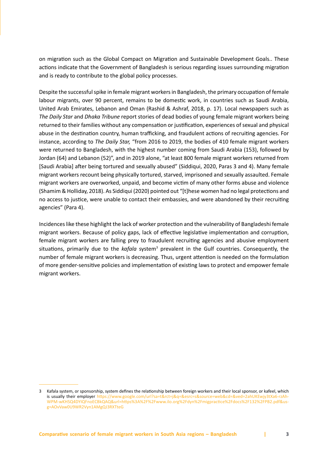on migration such as the Global Compact on Migration and Sustainable Development Goals.. These actions indicate that the Government of Bangladesh is serious regarding issues surrounding migration and is ready to contribute to the global policy processes.

Despite the successful spike in female migrant workers in Bangladesh, the primary occupation of female labour migrants, over 90 percent, remains to be domestic work, in countries such as Saudi Arabia, United Arab Emirates, Lebanon and Oman (Rashid & Ashraf, 2018, p. 17). Local newspapers such as *The Daily Star* and *Dhaka Tribune* report stories of dead bodies of young female migrant workers being returned to their families without any compensation or justification, experiences of sexual and physical abuse in the destination country, human trafficking, and fraudulent actions of recruiting agencies. For instance, according to *The Daily Star,* "from 2016 to 2019, the bodies of 410 female migrant workers were returned to Bangladesh, with the highest number coming from Saudi Arabia (153), followed by Jordan (64) and Lebanon (52)", and in 2019 alone, "at least 800 female migrant workers returned from [Saudi Arabia] after being tortured and sexually abused" (Siddiqui, 2020, Paras 3 and 4). Many female migrant workers recount being physically tortured, starved, imprisoned and sexually assaulted. Female migrant workers are overworked, unpaid, and become victim of many other forms abuse and violence (Shamim & Holliday, 2018). As Siddiqui (2020) pointed out "[t]hese women had no legal protections and no access to justice, were unable to contact their embassies, and were abandoned by their recruiting agencies" (Para 4).

Incidences like these highlight the lack of worker protection and the vulnerability of Bangladeshi female migrant workers. Because of policy gaps, lack of effective legislative implementation and corruption, female migrant workers are falling prey to fraudulent recruiting agencies and abusive employment situations, primarily due to the *kafala* system<sup>3</sup> prevalent in the Gulf countries. Consequently, the number of female migrant workers is decreasing. Thus, urgent attention is needed on the formulation of more gender-sensitive policies and implementation of existing laws to protect and empower female migrant workers.

<sup>3</sup> Kafala system, or sponsorship, system defines the relationship between foreign workers and their local sponsor, or kafeel, which is usually their employer [https://www.google.com/url?sa=t&rct=j&q=&esrc=s&source=web&cd=&ved=2ahUKEwjy3tXa6-rzAh](https://www.google.com/url?sa=t&rct=j&q=&esrc=s&source=web&cd=&ved=2ahUKEwjy3tXa6-rzAhWPM-wKHSQ4DYIQFnoECBkQAQ&url=https%3A%2F%2Fwww.ilo.org%2Fdyn%2Fmigpractice%2Fdocs%2F132%2FPB2.pdf&usg=AOvVaw0U9WR2Vyn1AMgQJ3RXTteG)-[WPM-wKHSQ4DYIQFnoECBkQAQ&url=https%3A%2F%2Fwww.ilo.org%2Fdyn%2Fmigpractice%2Fdocs%2F132%2FPB2.pdf&us](https://www.google.com/url?sa=t&rct=j&q=&esrc=s&source=web&cd=&ved=2ahUKEwjy3tXa6-rzAhWPM-wKHSQ4DYIQFnoECBkQAQ&url=https%3A%2F%2Fwww.ilo.org%2Fdyn%2Fmigpractice%2Fdocs%2F132%2FPB2.pdf&usg=AOvVaw0U9WR2Vyn1AMgQJ3RXTteG)[g=AOvVaw0U9WR2Vyn1AMgQJ3RXTteG](https://www.google.com/url?sa=t&rct=j&q=&esrc=s&source=web&cd=&ved=2ahUKEwjy3tXa6-rzAhWPM-wKHSQ4DYIQFnoECBkQAQ&url=https%3A%2F%2Fwww.ilo.org%2Fdyn%2Fmigpractice%2Fdocs%2F132%2FPB2.pdf&usg=AOvVaw0U9WR2Vyn1AMgQJ3RXTteG)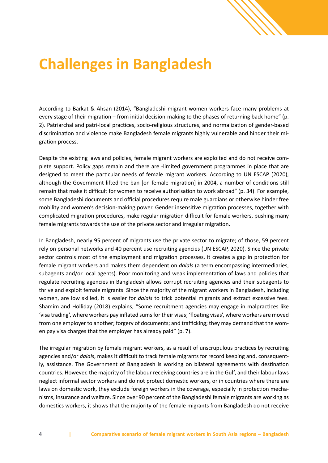

According to Barkat & Ahsan (2014), "Bangladeshi migrant women workers face many problems at every stage of their migration – from initial decision-making to the phases of returning back home" (p. 2). Patriarchal and patri-local practices, socio-religious structures, and normalization of gender-based discrimination and violence make Bangladesh female migrants highly vulnerable and hinder their migration process.

Despite the existing laws and policies, female migrant workers are exploited and do not receive complete support. Policy gaps remain and there are -limited government programmes in place that are designed to meet the particular needs of female migrant workers. According to UN ESCAP (2020), although the Government lifted the ban [on female migration] in 2004, a number of conditions still remain that make it difficult for women to receive authorisation to work abroad" (p. 34). For example, some Bangladeshi documents and official procedures require male guardians or otherwise hinder free mobility and women's decision-making power. Gender insensitive migration processes, together with complicated migration procedures, make regular migration difficult for female workers, pushing many female migrants towards the use of the private sector and irregular migration.

In Bangladesh, nearly 95 percent of migrants use the private sector to migrate; of those, 59 percent rely on personal networks and 40 percent use recruiting agencies (UN ESCAP, 2020). Since the private sector controls most of the employment and migration processes, it creates a gap in protection for female migrant workers and makes them dependent on *dalals* (a term encompassing intermediaries, subagents and/or local agents). Poor monitoring and weak implementation of laws and policies that regulate recruiting agencies in Bangladesh allows corrupt recruiting agencies and their subagents to thrive and exploit female migrants. Since the majority of the migrant workers in Bangladesh, including women, are low skilled, it is easier for *dalals* to trick potential migrants and extract excessive fees. Shamim and Holliday (2018) explains, "Some recruitment agencies may engage in malpractices like 'visa trading', where workers pay inflated sums for their visas; 'floating visas', where workers are moved from one employer to another; forgery of documents; and trafficking; they may demand that the women pay visa charges that the employer has already paid" (p. 7).

The irregular migration by female migrant workers, as a result of unscrupulous practices by recruiting agencies and/or *dalals*, makes it difficult to track female migrants for record keeping and, consequently, assistance. The Government of Bangladesh is working on bilateral agreements with destination countries. However, the majority of the labour receiving countries are in the Gulf, and their labour laws neglect informal sector workers and do not protect domestic workers, or in countries where there are laws on domestic work, they exclude foreign workers in the coverage, especially in protection mechanisms, insurance and welfare. Since over 90 percent of the Bangladeshi female migrants are working as domestics workers, it shows that the majority of the female migrants from Bangladesh do not receive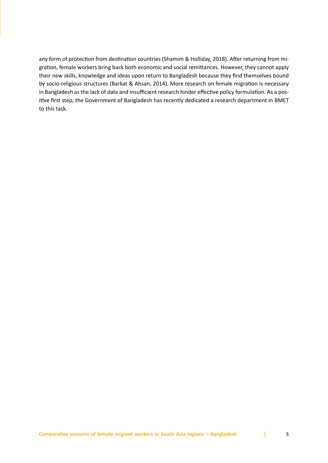any form of protection from destination countries (Shamim & Holliday, 2018). After returning from migration, female workers bring back both economic and social remittances. However, they cannot apply their new skills, knowledge and ideas upon return to Bangladesh because they find themselves bound by socio-religious structures (Barkat & Ahsan, 2014). More research on female migration is necessary in Bangladesh as the lack of data and insufficient research hinder effective policy formulation. As a positive first step, the Government of Bangladesh has recently dedicated a research department in BMET to this task.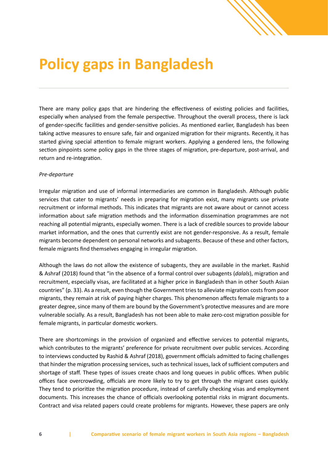

There are many policy gaps that are hindering the effectiveness of existing policies and facilities, especially when analysed from the female perspective. Throughout the overall process, there is lack of gender-specific facilities and gender-sensitive policies. As mentioned earlier, Bangladesh has been taking active measures to ensure safe, fair and organized migration for their migrants. Recently, it has started giving special attention to female migrant workers. Applying a gendered lens, the following section pinpoints some policy gaps in the three stages of migration, pre-departure, post-arrival, and return and re-integration.

### *Pre-departure*

Irregular migration and use of informal intermediaries are common in Bangladesh. Although public services that cater to migrants' needs in preparing for migration exist, many migrants use private recruitment or informal methods. This indicates that migrants are not aware about or cannot access information about safe migration methods and the information dissemination programmes are not reaching all potential migrants, especially women. There is a lack of credible sources to provide labour market information, and the ones that currently exist are not gender-responsive. As a result, female migrants become dependent on personal networks and subagents. Because of these and other factors, female migrants find themselves engaging in irregular migration.

Although the laws do not allow the existence of subagents, they are available in the market. Rashid & Ashraf (2018) found that "in the absence of a formal control over subagents (*dalals*), migration and recruitment, especially visas, are facilitated at a higher price in Bangladesh than in other South Asian countries" (p. 33). As a result, even though the Government tries to alleviate migration costs from poor migrants, they remain at risk of paying higher charges. This phenomenon affects female migrants to a greater degree, since many of them are bound by the Government's protective measures and are more vulnerable socially. As a result, Bangladesh has not been able to make zero-cost migration possible for female migrants, in particular domestic workers.

There are shortcomings in the provision of organized and effective services to potential migrants, which contributes to the migrants' preference for private recruitment over public services. According to interviews conducted by Rashid & Ashraf (2018), government officials admitted to facing challenges that hinder the migration processing services, such as technical issues, lack of sufficient computers and shortage of staff. These types of issues create chaos and long queues in public offices. When public offices face overcrowding, officials are more likely to try to get through the migrant cases quickly. They tend to prioritize the migration procedure, instead of carefully checking visas and employment documents. This increases the chance of officials overlooking potential risks in migrant documents. Contract and visa related papers could create problems for migrants. However, these papers are only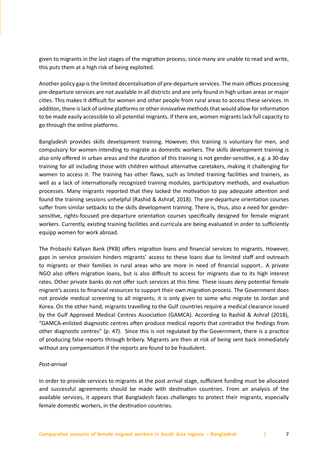given to migrants in the last stages of the migration process; since many are unable to read and write, this puts them at a high risk of being exploited.

Another policy gap is the limited decentalisation of pre-departure services. The main offices processing pre-departure services are not available in all districts and are only found in high urban areas or major cities. This makes it difficult for women and other people from rural areas to access these services. In addition, there is lack of online platforms or other innovative methods that would allow for information to be made easily accessible to all potential migrants. If there are, women migrants lack full capacity to go through the online platforms.

Bangladesh provides skills development training. However, this training is voluntary for men, and compulsory for women intending to migrate as domestic workers. The skills development training is also only offered in urban areas and the duration of this training is not gender-sensitive, e.g. a 30-day training for all including those with children without alternative caretakers, making it challenging for women to access it. The training has other flaws, such as limited training facilities and trainers, as well as a lack of internationally recognized training modules, participatory methods, and evaluation processes. Many migrants reported that they lacked the motivation to pay adequate attention and found the training sessions unhelpful (Rashid & Ashraf, 2018). The pre-departure orientation courses suffer from similar setbacks to the skills development training. There is, thus, also a need for gender‐ sensitive, rights‐focused pre‐departure orientation courses specifically designed for female migrant workers. Currently, existing training facilities and curricula are being evaluated in order to sufficiently equipp women for work abroad.

The Probashi Kallyan Bank (PKB) offers migration loans and financial services to migrants. However, gaps in service provision hinders migrants' access to these loans due to limited staff and outreach to migrants or their families in rural areas who are more in need of financial support.. A private NGO also offers migration loans, but is also difficult to access for migrants due to its high interest rates. Other private banks do not offer such services at this time. These issues deny potential female migrant's access to financial resources to support their own migration process. The Government does not provide medical screening to all migrants; it is only given to some who migrate to Jordan and Korea. On the other hand, migrants travelling to the Gulf countries require a medical clearance issued by the Gulf Approved Medical Centres Association (GAMCA). According to Rashid & Ashraf (2018), "GAMCA-enlisted diagnostic centres often produce medical reports that contradict the findings from other diagnostic centres" (p. 47). Since this is not regulated by the Government, there is a practice of producing false reports through bribery. Migrants are then at risk of being sent back immediately without any compensation if the reports are found to be fraudulent.

#### *Post-arrival*

In order to provide services to migrants at the post arrival stage, sufficient funding must be allocated and successful agreements should be made with destination countries. From an analysis of the available services, it appears that Bangladesh faces challenges to protect their migrants, especially female domestic workers, in the destination countries.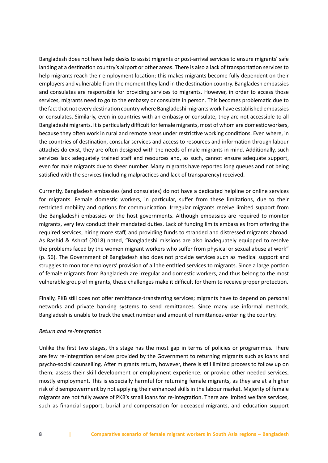Bangladesh does not have help desks to assist migrants or post-arrival services to ensure migrants' safe landing at a destination country's airport or other areas. There is also a lack of transportation services to help migrants reach their employment location; this makes migrants become fully dependent on their employers and vulnerable from the moment they land in the destination country. Bangladesh embassies and consulates are responsible for providing services to migrants. However, in order to access those services, migrants need to go to the embassy or consulate in person. This becomes problematic due to the fact that not every destination country where Bangladeshi migrants work have established embassies or consulates. Similarly, even in countries with an embassy or consulate, they are not accessible to all Bangladeshi migrants. It is particularly difficult for female migrants, most of whom are domestic workers, because they often work in rural and remote areas under restrictive working conditions. Even where, in the countries of destination, consular services and access to resources and information through labour attachés do exist, they are often designed with the needs of male migrants in mind. Additionally, such services lack adequately trained staff and resources and, as such, cannot ensure adequate support, even for male migrants due to sheer number. Many migrants have reported long queues and not being satisfied with the services (including malpractices and lack of transparency) received.

Currently, Bangladesh embassies (and consulates) do not have a dedicated helpline or online services for migrants. Female domestic workers, in particular, suffer from these limitations, due to their restricted mobility and options for communication. Irregular migrants receive limited support from the Bangladeshi embassies or the host governments. Although embassies are required to monitor migrants, very few conduct their mandated duties. Lack of funding limits embassies from offering the required services, hiring more staff, and providing funds to stranded and distressed migrants abroad. As Rashid & Ashraf (2018) noted, "Bangladeshi missions are also inadequately equipped to resolve the problems faced by the women migrant workers who suffer from physical or sexual abuse at work" (p. 56). The Government of Bangladesh also does not provide services such as medical support and struggles to monitor employers' provision of all the entitled services to migrants. Since a large portion of female migrants from Bangladesh are irregular and domestic workers, and thus belong to the most vulnerable group of migrants, these challenges make it difficult for them to receive proper protection.

Finally, PKB still does not offer remittance-transferring services; migrants have to depend on personal networks and private banking systems to send remittances. Since many use informal methods, Bangladesh is unable to track the exact number and amount of remittances entering the country.

### *Return and re-integration*

Unlike the first two stages, this stage has the most gap in terms of policies or programmes. There are few re-integration services provided by the Government to returning migrants such as loans and psycho-social counselling. After migrants return, however, there is still limited process to follow up on them; assess their skill development or employment experience; or provide other needed services, mostly employment. This is especially harmful for returning female migrants, as they are at a higher risk of disempowerment by not applying their enhanced skills in the labour market. Majority of female migrants are not fully aware of PKB's small loans for re-integration. There are limited welfare services, such as financial support, burial and compensation for deceased migrants, and education support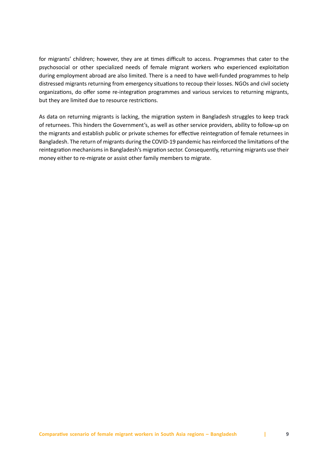for migrants' children; however, they are at times difficult to access. Programmes that cater to the psychosocial or other specialized needs of female migrant workers who experienced exploitation during employment abroad are also limited. There is a need to have well-funded programmes to help distressed migrants returning from emergency situations to recoup their losses. NGOs and civil society organizations, do offer some re-integration programmes and various services to returning migrants, but they are limited due to resource restrictions.

As data on returning migrants is lacking, the migration system in Bangladesh struggles to keep track of returnees. This hinders the Government's, as well as other service providers, ability to follow-up on the migrants and establish public or private schemes for effective reintegration of female returnees in Bangladesh. The return of migrants during the COVID-19 pandemic has reinforced the limitations of the reintegration mechanisms in Bangladesh's migration sector. Consequently, returning migrants use their money either to re-migrate or assist other family members to migrate.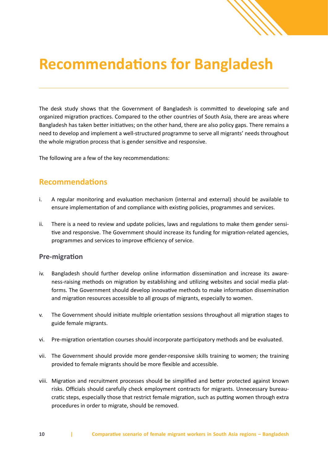## **Recommendations for Bangladesh**

The desk study shows that the Government of Bangladesh is committed to developing safe and organized migration practices. Compared to the other countries of South Asia, there are areas where Bangladesh has taken better initiatives; on the other hand, there are also policy gaps. There remains a need to develop and implement a well-structured programme to serve all migrants' needs throughout the whole migration process that is gender sensitive and responsive.

The following are a few of the key recommendations:

### **Recommendations**

- i. A regular monitoring and evaluation mechanism (internal and external) should be available to ensure implementation of and compliance with existing policies, programmes and services.
- ii. There is a need to review and update policies, laws and regulations to make them gender sensitive and responsive. The Government should increase its funding for migration-related agencies, programmes and services to improve efficiency of service.

### **Pre-migration**

- iv. Bangladesh should further develop online information dissemination and increase its awareness-raising methods on migration by establishing and utilizing websites and social media platforms. The Government should develop innovative methods to make information dissemination and migration resources accessible to all groups of migrants, especially to women.
- v. The Government should initiate multiple orientation sessions throughout all migration stages to guide female migrants.
- vi. Pre-migration orientation courses should incorporate participatory methods and be evaluated.
- vii. The Government should provide more gender-responsive skills training to women; the training provided to female migrants should be more flexible and accessible.
- viii. Migration and recruitment processes should be simplified and better protected against known risks. Officials should carefully check employment contracts for migrants. Unnecessary bureaucratic steps, especially those that restrict female migration, such as putting women through extra procedures in order to migrate, should be removed.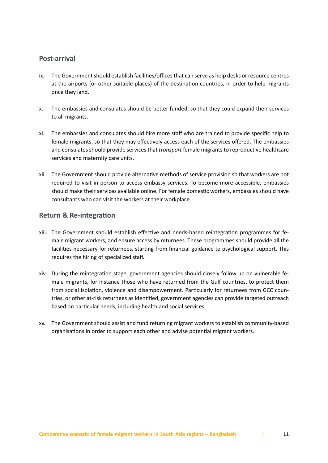### **Post-arrival**

- ix. The Government should establish facilities/offices that can serve as help desks or resource centres at the airports (or other suitable places) of the destination countries, in order to help migrants once they land.
- x. The embassies and consulates should be better funded, so that they could expand their services to all migrants.
- xi. The embassies and consulates should hire more staff who are trained to provide specific help to female migrants, so that they may effectively access each of the services offered. The embassies and consulates should provide services that *transport* female migrants to reproductive healthcare services and maternity care units.
- xii. The Government should provide alternative methods of service provision so that workers are not required to visit in person to access embassy services. To become more accessible, embassies should make their services available online. For female domestic workers, embassies should have consultants who can visit the workers at their workplace.

### **Return & Re-integration**

- xiii. The Government should establish effective and needs-based reintegration programmes for female migrant workers, and ensure access by returnees. These programmes should provide all the facilities necessary for returnees, starting from financial guidance to psychological support. This requires the hiring of specialized staff.
- xiv. During the reintegration stage, government agencies should closely follow up on vulnerable female migrants, for instance those who have returned from the Gulf countries, to protect them from social isolation, violence and disempowerment. Particularly for returnees from GCC countries, or other at-risk returnees as identified, government agencies can provide targeted outreach based on particular needs, including health and social services.
- xv. The Government should assist and fund returning migrant workers to establish community-based organisations in order to support each other and advise potential migrant workers.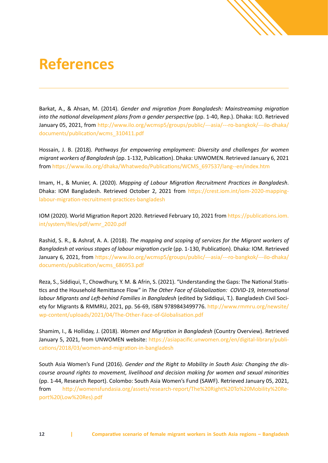# **References**

Barkat, A., & Ahsan, M. (2014). *Gender and migration from Bangladesh: Mainstreaming migration into the national development plans from a gender perspective* (pp. 1-40, Rep.). Dhaka: ILO. Retrieved January 05, 2021, from [http://www.ilo.org/wcmsp5/groups/public/---asia/---ro-bangkok/---ilo-dhaka/](http://www.ilo.org/wcmsp5/groups/public/---asia/---ro-bangkok/---ilo-dhaka/documents/publication/wcms_310411.pdf) [documents/publication/wcms\\_310411.pdf](http://www.ilo.org/wcmsp5/groups/public/---asia/---ro-bangkok/---ilo-dhaka/documents/publication/wcms_310411.pdf)

**SAN SERVICE SERVICE** 

Hossain, J. B. (2018). *Pathways for empowering employment: Diversity and challenges for women migrant workers of Bangladesh* (pp. 1-132, Publication). Dhaka: UNWOMEN. Retrieved January 6, 2021 from [https://www.ilo.org/dhaka/Whatwedo/Publications/WCMS\\_697537/lang--en/index.htm](https://www.ilo.org/dhaka/Whatwedo/Publications/WCMS_697537/lang--en/index.htm)

Imam, H., & Munier, A. (2020). *Mapping of Labour Migration Recruitment Practices in Bangladesh*. Dhaka: IOM Bangladesh. Retrieved October 2, 2021 from [https://crest.iom.int/iom-2020-mapping](https://crest.iom.int/iom-2020-mapping-labour-migration-recruitment-practices-bangladesh)[labour-migration-recruitment-practices-bangladesh](https://crest.iom.int/iom-2020-mapping-labour-migration-recruitment-practices-bangladesh)

IOM (2020). World Migration Report 2020. Retrieved February 10, 2021 from [https://publications.iom.](https://publications.iom.int/system/files/pdf/wmr_2020.pdf) [int/system/files/pdf/wmr\\_2020.pdf](https://publications.iom.int/system/files/pdf/wmr_2020.pdf)

Rashid, S. R., & Ashraf, A. A. (2018). *The mapping and scoping of services for the Migrant workers of Bangladesh at various stages of labour migration cycle* (pp. 1-130, Publication). Dhaka: IOM. Retrieved January 6, 2021, from [https://www.ilo.org/wcmsp5/groups/public/---asia/---ro-bangkok/---ilo-dhaka/](https://www.ilo.org/wcmsp5/groups/public/---asia/---ro-bangkok/---ilo-dhaka/documents/publication/wcms_686953.pdf) [documents/publication/wcms\\_686953.pdf](https://www.ilo.org/wcmsp5/groups/public/---asia/---ro-bangkok/---ilo-dhaka/documents/publication/wcms_686953.pdf)

Reza, S., Siddiqui, T., Chowdhury, Y. M. & Afrin, S. (2021). "Understanding the Gaps: The National Statistics and the Household Remittance Flow" in *The Other Face of Globalization: COVID-19, International labour Migrants and Left-behind Families in Bangladesh* (edited by Siddiqui, T.). Bangladesh Civil Society for Migrants & RMMRU, 2021, pp. 56-69, ISBN 9789843499776. [http://www.rmmru.org/newsite/](http://www.rmmru.org/newsite/wp-content/uploads/2021/04/The-Other-Face-of-Globalisation.pdf) [wp-content/uploads/2021/04/The-Other-Face-of-Globalisation.pdf](http://www.rmmru.org/newsite/wp-content/uploads/2021/04/The-Other-Face-of-Globalisation.pdf)

Shamim, I., & Holliday, J. (2018). *Women and Migration in Bangladesh* (Country Overview). Retrieved January 5, 2021, from UNWOMEN website: [https://asiapacific.unwomen.org/en/digital-library/publi](https://asiapacific.unwomen.org/en/digital-library/publications/2018/03/women-and-migration-in-bangladesh)[cations/2018/03/women-and-migration-in-bangladesh](https://asiapacific.unwomen.org/en/digital-library/publications/2018/03/women-and-migration-in-bangladesh)

South Asia Women's Fund (2016). *Gender and the Right to Mobility in South Asia: Changing the discourse around rights to movement, livelihood and decision making for women and sexual minorities* (pp. 1-44, Research Report). Colombo: South Asia Women's Fund (SAWF). Retrieved January 05, 2021, from [http://womensfundasia.org/assets/research-report/The%20Right%20To%20Mobility%20Re](http://womensfundasia.org/assets/research-report/The%20Right%20To%20Mobility%20Report%20(Low%20Res).pdf)[port%20\(Low%20Res\).pdf](http://womensfundasia.org/assets/research-report/The%20Right%20To%20Mobility%20Report%20(Low%20Res).pdf)